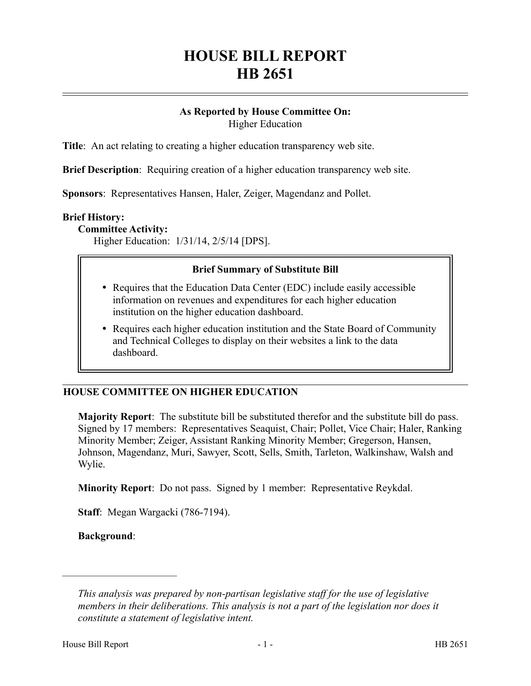# **HOUSE BILL REPORT HB 2651**

#### **As Reported by House Committee On:** Higher Education

**Title**: An act relating to creating a higher education transparency web site.

**Brief Description**: Requiring creation of a higher education transparency web site.

**Sponsors**: Representatives Hansen, Haler, Zeiger, Magendanz and Pollet.

#### **Brief History:**

**Committee Activity:**

Higher Education: 1/31/14, 2/5/14 [DPS].

#### **Brief Summary of Substitute Bill**

- Requires that the Education Data Center (EDC) include easily accessible information on revenues and expenditures for each higher education institution on the higher education dashboard.
- Requires each higher education institution and the State Board of Community and Technical Colleges to display on their websites a link to the data dashboard.

#### **HOUSE COMMITTEE ON HIGHER EDUCATION**

**Majority Report**: The substitute bill be substituted therefor and the substitute bill do pass. Signed by 17 members: Representatives Seaquist, Chair; Pollet, Vice Chair; Haler, Ranking Minority Member; Zeiger, Assistant Ranking Minority Member; Gregerson, Hansen, Johnson, Magendanz, Muri, Sawyer, Scott, Sells, Smith, Tarleton, Walkinshaw, Walsh and Wylie.

**Minority Report**: Do not pass. Signed by 1 member: Representative Reykdal.

**Staff**: Megan Wargacki (786-7194).

**Background**:

––––––––––––––––––––––

*This analysis was prepared by non-partisan legislative staff for the use of legislative members in their deliberations. This analysis is not a part of the legislation nor does it constitute a statement of legislative intent.*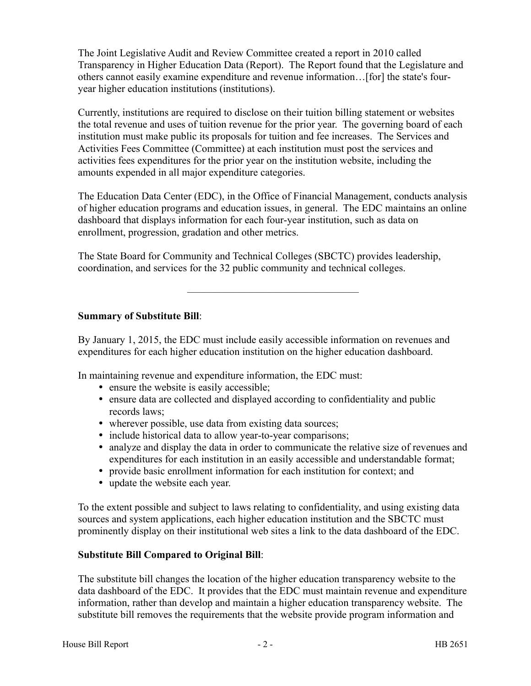The Joint Legislative Audit and Review Committee created a report in 2010 called Transparency in Higher Education Data (Report). The Report found that the Legislature and others cannot easily examine expenditure and revenue information…[for] the state's fouryear higher education institutions (institutions).

Currently, institutions are required to disclose on their tuition billing statement or websites the total revenue and uses of tuition revenue for the prior year. The governing board of each institution must make public its proposals for tuition and fee increases. The Services and Activities Fees Committee (Committee) at each institution must post the services and activities fees expenditures for the prior year on the institution website, including the amounts expended in all major expenditure categories.

The Education Data Center (EDC), in the Office of Financial Management, conducts analysis of higher education programs and education issues, in general. The EDC maintains an online dashboard that displays information for each four-year institution, such as data on enrollment, progression, gradation and other metrics.

–––––––––––––––––––––––––––––––––

The State Board for Community and Technical Colleges (SBCTC) provides leadership, coordination, and services for the 32 public community and technical colleges.

**Summary of Substitute Bill**:

By January 1, 2015, the EDC must include easily accessible information on revenues and expenditures for each higher education institution on the higher education dashboard.

In maintaining revenue and expenditure information, the EDC must:

- ensure the website is easily accessible;
- ensure data are collected and displayed according to confidentiality and public records laws;
- wherever possible, use data from existing data sources;
- include historical data to allow year-to-year comparisons;
- analyze and display the data in order to communicate the relative size of revenues and expenditures for each institution in an easily accessible and understandable format;
- provide basic enrollment information for each institution for context; and
- update the website each year.

To the extent possible and subject to laws relating to confidentiality, and using existing data sources and system applications, each higher education institution and the SBCTC must prominently display on their institutional web sites a link to the data dashboard of the EDC.

## **Substitute Bill Compared to Original Bill**:

The substitute bill changes the location of the higher education transparency website to the data dashboard of the EDC. It provides that the EDC must maintain revenue and expenditure information, rather than develop and maintain a higher education transparency website. The substitute bill removes the requirements that the website provide program information and